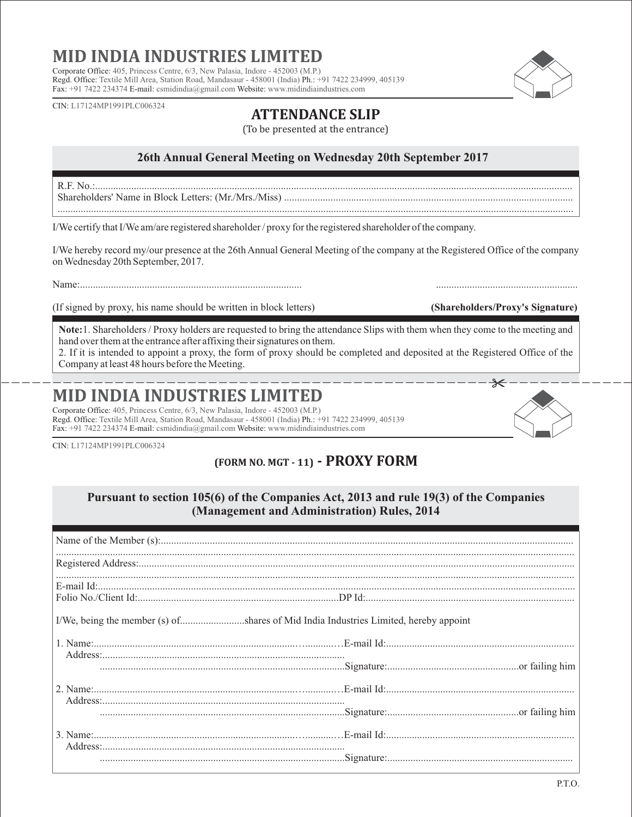# **MID INDIA INDUSTRIES LIMI**

Corporate Office: 405, Princess Centre, 6/3, New Palasia, Indore - 452003 (M.P.) Regd. Office: Textile Mill Area, Station Road, Mandasaur - 458001 (India) Ph.: +91 7422 234999, 405139 Fax: +91 7422 234374 E-mail: csmidindia@gmail.com Website: www.midindiaindustries.com

CIN: L17124MP1991PLC006324

### **ATTENDANCE SLIP**

(To be presented at the entrance)

#### **26th Annual General Meeting on Wednesday 20th September 2017**

R.F. No.:......................................................................................................................................................................................... Shareholders' Name in Block Letters: (Mr./Mrs./Miss) ............................

I/We certify that I/We am/are registered shareholder / proxy for the registered shareholder of the company.

I/We hereby record my/our presence at the 26th Annual General Meeting of the company at the Registered Office of the company on Wednesday 20th September, 2017.

Name<sup>.</sup>

(If signed by proxy, his name should be written in block letters) **(Shareholders/Proxy's Signature)**

**Note:**1. Shareholders / Proxy holders are requested to bring the attendance Slips with them when they come to the meeting and hand over them at the entrance after affixing their signatures on them.

------------------------------------------------------------- 2. If it is intended to appoint a proxy, the form of proxy should be completed and deposited at the Registered Office of the Company at least 48 hours before the Meeting.

# **MID INDIA INDUSTRIES LIMITED**

Corporate Office: 405, Princess Centre, 6/3, New Palasia, Indore - 452003 (M.P.) Regd. Office: Textile Mill Area, Station Road, Mandasaur - 458001 (India) Ph.: +91 7422 234999, 405139 Fax: +91 7422 234374 E-mail: csmidindia@gmail.com Website: www.midindiaindustries.com

CIN: L17124MP1991PLC006324

### **(FORM NO. MGT - 11) - PROXY FORM**

#### **Pursuant to section 105(6) of the Companies Act, 2013 and rule 19(3) of the Companies (Management and Administration) Rules, 2014**

| I/We, being the member (s) ofshares of Mid India Industries Limited, hereby appoint |  |  |  |
|-------------------------------------------------------------------------------------|--|--|--|
|                                                                                     |  |  |  |
|                                                                                     |  |  |  |
|                                                                                     |  |  |  |
|                                                                                     |  |  |  |